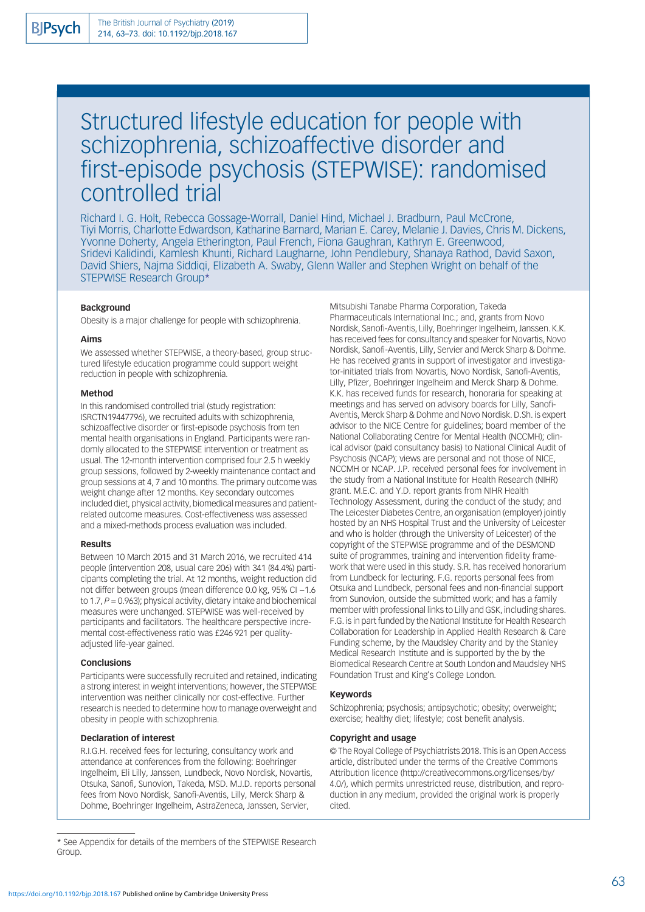# Structured lifestyle education for people with schizophrenia, schizoaffective disorder and first-episode psychosis (STEPWISE): randomised controlled trial

Richard I. G. Holt, Rebecca Gossage-Worrall, Daniel Hind, Michael J. Bradburn, Paul McCrone, Tiyi Morris, Charlotte Edwardson, Katharine Barnard, Marian E. Carey, Melanie J. Davies, Chris M. Dickens, Yvonne Doherty, Angela Etherington, Paul French, Fiona Gaughran, Kathryn E. Greenwood, Sridevi Kalidindi, Kamlesh Khunti, Richard Laugharne, John Pendlebury, Shanaya Rathod, David Saxon, David Shiers, Najma Siddiqi, Elizabeth A. Swaby, Glenn Waller and Stephen Wright on behalf of the STEPWISE Research Group\*

## Background

Obesity is a major challenge for people with schizophrenia.

## Aims

We assessed whether STEPWISE, a theory-based, group structured lifestyle education programme could support weight reduction in people with schizophrenia.

## Method

In this randomised controlled trial (study registration: ISRCTN19447796), we recruited adults with schizophrenia, schizoaffective disorder or first-episode psychosis from ten mental health organisations in England. Participants were randomly allocated to the STEPWISE intervention or treatment as usual. The 12-month intervention comprised four 2.5 h weekly group sessions, followed by 2-weekly maintenance contact and group sessions at 4, 7 and 10 months. The primary outcome was weight change after 12 months. Key secondary outcomes included diet, physical activity, biomedical measures and patientrelated outcome measures. Cost-effectiveness was assessed and a mixed-methods process evaluation was included.

# Results

Between 10 March 2015 and 31 March 2016, we recruited 414 people (intervention 208, usual care 206) with 341 (84.4%) participants completing the trial. At 12 months, weight reduction did not differ between groups (mean difference 0.0 kg, 95% CI −1.6 to 1.7,  $P = 0.963$ ; physical activity, dietary intake and biochemical measures were unchanged. STEPWISE was well-received by participants and facilitators. The healthcare perspective incremental cost-effectiveness ratio was £246 921 per qualityadjusted life-year gained.

## **Conclusions**

Participants were successfully recruited and retained, indicating a strong interest in weight interventions; however, the STEPWISE intervention was neither clinically nor cost-effective. Further research is needed to determine how to manage overweight and obesity in people with schizophrenia.

# Declaration of interest

R.I.G.H. received fees for lecturing, consultancy work and attendance at conferences from the following: Boehringer Ingelheim, Eli Lilly, Janssen, Lundbeck, Novo Nordisk, Novartis, Otsuka, Sanofi, Sunovion, Takeda, MSD. M.J.D. reports personal fees from Novo Nordisk, Sanofi-Aventis, Lilly, Merck Sharp & Dohme, Boehringer Ingelheim, AstraZeneca, Janssen, Servier,

Mitsubishi Tanabe Pharma Corporation, Takeda Pharmaceuticals International Inc.; and, grants from Novo Nordisk, Sanofi-Aventis, Lilly, Boehringer Ingelheim, Janssen. K.K. has received fees for consultancy and speaker for Novartis, Novo Nordisk, Sanofi-Aventis, Lilly, Servier and Merck Sharp & Dohme. He has received grants in support of investigator and investigator-initiated trials from Novartis, Novo Nordisk, Sanofi-Aventis, Lilly, Pfizer, Boehringer Ingelheim and Merck Sharp & Dohme. K.K. has received funds for research, honoraria for speaking at meetings and has served on advisory boards for Lilly, Sanofi-Aventis, Merck Sharp & Dohme and Novo Nordisk. D.Sh. is expert advisor to the NICE Centre for guidelines; board member of the National Collaborating Centre for Mental Health (NCCMH); clinical advisor (paid consultancy basis) to National Clinical Audit of Psychosis (NCAP); views are personal and not those of NICE, NCCMH or NCAP. J.P. received personal fees for involvement in the study from a National Institute for Health Research (NIHR) grant. M.E.C. and Y.D. report grants from NIHR Health Technology Assessment, during the conduct of the study; and The Leicester Diabetes Centre, an organisation (employer) jointly hosted by an NHS Hospital Trust and the University of Leicester and who is holder (through the University of Leicester) of the copyright of the STEPWISE programme and of the DESMOND suite of programmes, training and intervention fidelity framework that were used in this study. S.R. has received honorarium from Lundbeck for lecturing. F.G. reports personal fees from Otsuka and Lundbeck, personal fees and non-financial support from Sunovion, outside the submitted work; and has a family member with professional links to Lilly and GSK, including shares. F.G. is in part funded by the National Institute for Health Research Collaboration for Leadership in Applied Health Research & Care Funding scheme, by the Maudsley Charity and by the Stanley Medical Research Institute and is supported by the by the Biomedical Research Centre at South London and Maudsley NHS Foundation Trust and King's College London.

# Keywords

Schizophrenia; psychosis; antipsychotic; obesity; overweight; exercise; healthy diet; lifestyle; cost benefit analysis.

# Copyright and usage

© The Royal College of Psychiatrists 2018. This is an Open Access article, distributed under the terms of the Creative Commons Attribution licence (http://creativecommons.org/licenses/by/ 4.0/), which permits unrestricted reuse, distribution, and reproduction in any medium, provided the original work is properly cited.

<sup>\*</sup> See Appendix for details of the members of the STEPWISE Research Group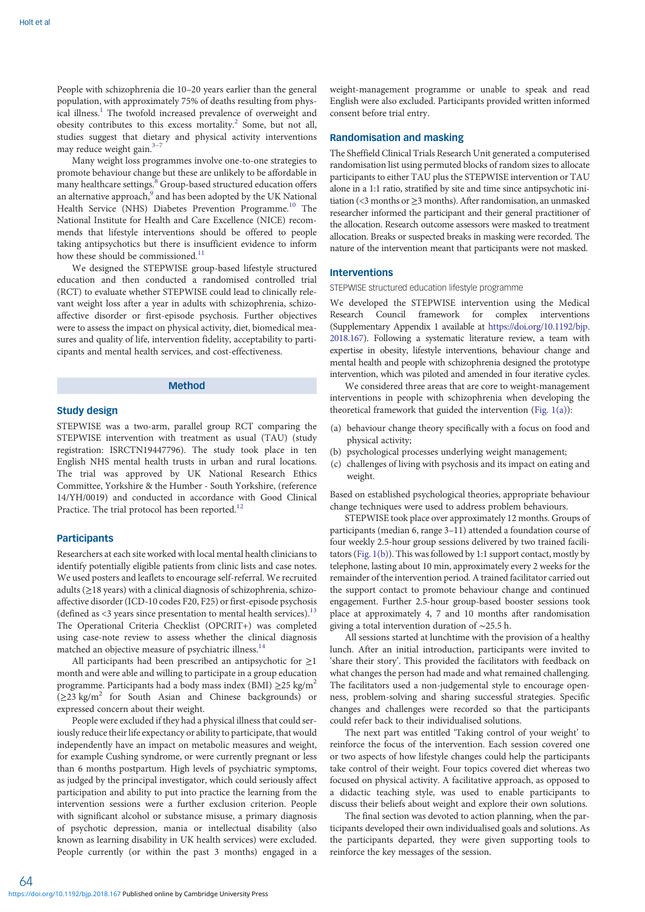People with schizophrenia die 10–20 years earlier than the general population, with approximately 75% of deaths resulting from phys-ical illness.<sup>[1](#page-9-0)</sup> The twofold increased prevalence of overweight and obesity contributes to this excess mortality.<sup>2</sup> Some, but not all, studies suggest that dietary and physical activity interventions may reduce weight gain. $3-7$  $3-7$  $3-7$ 

Many weight loss programmes involve one-to-one strategies to promote behaviour change but these are unlikely to be affordable in many healthcare settings.<sup>[8](#page-9-0)</sup> Group-based structured education offers an alternative approach,<sup>[9](#page-9-0)</sup> and has been adopted by the UK National Health Service (NHS) Diabetes Prevention Programme.<sup>[10](#page-9-0)</sup> The National Institute for Health and Care Excellence (NICE) recommends that lifestyle interventions should be offered to people taking antipsychotics but there is insufficient evidence to inform how these should be commissioned.<sup>[11](#page-9-0)</sup>

We designed the STEPWISE group-based lifestyle structured education and then conducted a randomised controlled trial (RCT) to evaluate whether STEPWISE could lead to clinically relevant weight loss after a year in adults with schizophrenia, schizoaffective disorder or first-episode psychosis. Further objectives were to assess the impact on physical activity, diet, biomedical measures and quality of life, intervention fidelity, acceptability to participants and mental health services, and cost-effectiveness.

## Method

## Study design

STEPWISE was a two-arm, parallel group RCT comparing the STEPWISE intervention with treatment as usual (TAU) (study registration: ISRCTN19447796). The study took place in ten English NHS mental health trusts in urban and rural locations. The trial was approved by UK National Research Ethics Committee, Yorkshire & the Humber - South Yorkshire, (reference 14/YH/0019) and conducted in accordance with Good Clinical Practice. The trial protocol has been reported.<sup>[12](#page-9-0)</sup>

#### **Participants**

Researchers at each site worked with local mental health clinicians to identify potentially eligible patients from clinic lists and case notes. We used posters and leaflets to encourage self-referral. We recruited adults (≥18 years) with a clinical diagnosis of schizophrenia, schizoaffective disorder (ICD-10 codes F20, F25) or first-episode psychosis (defined as  $<3$  years since presentation to mental health services).<sup>[13](#page-9-0)</sup> The Operational Criteria Checklist (OPCRIT+) was completed using case-note review to assess whether the clinical diagnosis matched an objective measure of psychiatric illness.<sup>[14](#page-9-0)</sup>

All participants had been prescribed an antipsychotic for  $\geq$ 1 month and were able and willing to participate in a group education programme. Participants had a body mass index (BMI)  $\geq$ 25 kg/m<sup>2</sup>  $(\geq 23 \text{ kg/m}^2)$  for South Asian and Chinese backgrounds) or expressed concern about their weight.

People were excluded if they had a physical illness that could seriously reduce their life expectancy or ability to participate, that would independently have an impact on metabolic measures and weight, for example Cushing syndrome, or were currently pregnant or less than 6 months postpartum. High levels of psychiatric symptoms, as judged by the principal investigator, which could seriously affect participation and ability to put into practice the learning from the intervention sessions were a further exclusion criterion. People with significant alcohol or substance misuse, a primary diagnosis of psychotic depression, mania or intellectual disability (also known as learning disability in UK health services) were excluded. People currently (or within the past 3 months) engaged in a

weight-management programme or unable to speak and read English were also excluded. Participants provided written informed consent before trial entry.

## Randomisation and masking

The Sheffield Clinical Trials Research Unit generated a computerised randomisation list using permuted blocks of random sizes to allocate participants to either TAU plus the STEPWISE intervention or TAU alone in a 1:1 ratio, stratified by site and time since antipsychotic initiation (<3 months or≥3 months). After randomisation, an unmasked researcher informed the participant and their general practitioner of the allocation. Research outcome assessors were masked to treatment allocation. Breaks or suspected breaks in masking were recorded. The nature of the intervention meant that participants were not masked.

## Interventions

## STEPWISE structured education lifestyle programme

We developed the STEPWISE intervention using the Medical Research Council framework for complex interventions (Supplementary Appendix 1 available at [https://doi.org/10.1192/bjp.](https://doi.org/10.1192/bjp.2018.167) [2018.167\)](https://doi.org/10.1192/bjp.2018.167). Following a systematic literature review, a team with expertise in obesity, lifestyle interventions, behaviour change and mental health and people with schizophrenia designed the prototype intervention, which was piloted and amended in four iterative cycles.

We considered three areas that are core to weight-management interventions in people with schizophrenia when developing the theoretical framework that guided the intervention [\(Fig. 1\(a\)](#page-2-0)):

- (a) behaviour change theory specifically with a focus on food and physical activity;
- (b) psychological processes underlying weight management;
- (c) challenges of living with psychosis and its impact on eating and weight.

Based on established psychological theories, appropriate behaviour change techniques were used to address problem behaviours.

STEPWISE took place over approximately 12 months. Groups of participants (median 6, range 3–11) attended a foundation course of four weekly 2.5-hour group sessions delivered by two trained facilitators [\(Fig. 1\(b\)\)](#page-2-0). This was followed by 1:1 support contact, mostly by telephone, lasting about 10 min, approximately every 2 weeks for the remainder of the intervention period. A trained facilitator carried out the support contact to promote behaviour change and continued engagement. Further 2.5-hour group-based booster sessions took place at approximately 4, 7 and 10 months after randomisation giving a total intervention duration of ∼25.5 h.

All sessions started at lunchtime with the provision of a healthy lunch. After an initial introduction, participants were invited to 'share their story'. This provided the facilitators with feedback on what changes the person had made and what remained challenging. The facilitators used a non-judgemental style to encourage openness, problem-solving and sharing successful strategies. Specific changes and challenges were recorded so that the participants could refer back to their individualised solutions.

The next part was entitled 'Taking control of your weight' to reinforce the focus of the intervention. Each session covered one or two aspects of how lifestyle changes could help the participants take control of their weight. Four topics covered diet whereas two focused on physical activity. A facilitative approach, as opposed to a didactic teaching style, was used to enable participants to discuss their beliefs about weight and explore their own solutions.

The final section was devoted to action planning, when the participants developed their own individualised goals and solutions. As the participants departed, they were given supporting tools to reinforce the key messages of the session.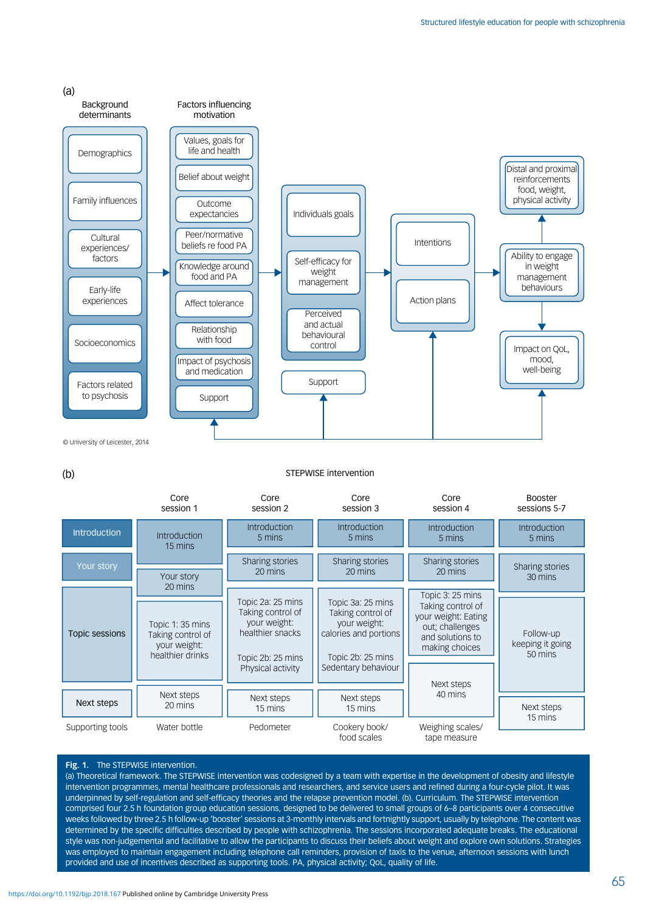<span id="page-2-0"></span>

#### (b) STEPWISE intervention

|                     | Core<br>session 1                                                         | Core<br>session 2                                                                                                    | Core<br>session 3                                                                                                           | Core<br>session 4                                                                                                     | <b>Booster</b><br>sessions 5-7           |  |
|---------------------|---------------------------------------------------------------------------|----------------------------------------------------------------------------------------------------------------------|-----------------------------------------------------------------------------------------------------------------------------|-----------------------------------------------------------------------------------------------------------------------|------------------------------------------|--|
| <b>Introduction</b> | <b>Introduction</b><br>15 mins                                            | Introduction<br>5 mins                                                                                               | <b>Introduction</b><br>5 mins                                                                                               | <b>Introduction</b><br>5 mins                                                                                         | <b>Introduction</b><br>5 mins            |  |
| Your story          | Your story<br>20 mins                                                     | Sharing stories<br>20 mins                                                                                           | Sharing stories<br>20 mins                                                                                                  | Sharing stories<br>20 mins                                                                                            | <b>Sharing stories</b><br>30 mins        |  |
| Topic sessions      | Topic 1: 35 mins<br>Taking control of<br>your weight:<br>healthier drinks | Topic 2a: 25 mins<br>Taking control of<br>your weight:<br>healthier snacks<br>Topic 2b: 25 mins<br>Physical activity | Topic 3a: 25 mins<br>Taking control of<br>your weight:<br>calories and portions<br>Topic 2b: 25 mins<br>Sedentary behaviour | Topic 3: 25 mins<br>Taking control of<br>your weight: Eating<br>out; challenges<br>and solutions to<br>making choices | Follow-up<br>keeping it going<br>50 mins |  |
|                     |                                                                           |                                                                                                                      |                                                                                                                             | Next steps<br>40 mins                                                                                                 |                                          |  |
| Next steps          | Next steps<br>20 mins                                                     | Next steps<br>15 mins                                                                                                | Next steps<br>15 mins                                                                                                       |                                                                                                                       | Next steps<br>15 mins                    |  |
| Supporting tools    | Water bottle                                                              | Pedometer                                                                                                            | Cookery book/<br>food scales                                                                                                | Weighing scales/<br>tape measure                                                                                      |                                          |  |

#### Fig. 1. The STEPWISE intervention.

(a) Theoretical framework. The STEPWISE intervention was codesigned by a team with expertise in the development of obesity and lifestyle intervention programmes, mental healthcare professionals and researchers, and service users and refined during a four-cycle pilot. It was underpinned by self-regulation and self-efficacy theories and the relapse prevention model. (b). Curriculum. The STEPWISE intervention comprised four 2.5 h foundation group education sessions, designed to be delivered to small groups of 6–8 participants over 4 consecutive weeks followed by three 2.5 h follow-up 'booster' sessions at 3-monthly intervals and fortnightly support, usually by telephone. The content was determined by the specific difficulties described by people with schizophrenia. The sessions incorporated adequate breaks. The educational style was non-judgemental and facilitative to allow the participants to discuss their beliefs about weight and explore own solutions. Strategies was employed to maintain engagement including telephone call reminders, provision of taxis to the venue, afternoon sessions with lunch provided and use of incentives described as supporting tools. PA, physical activity; QoL, quality of life.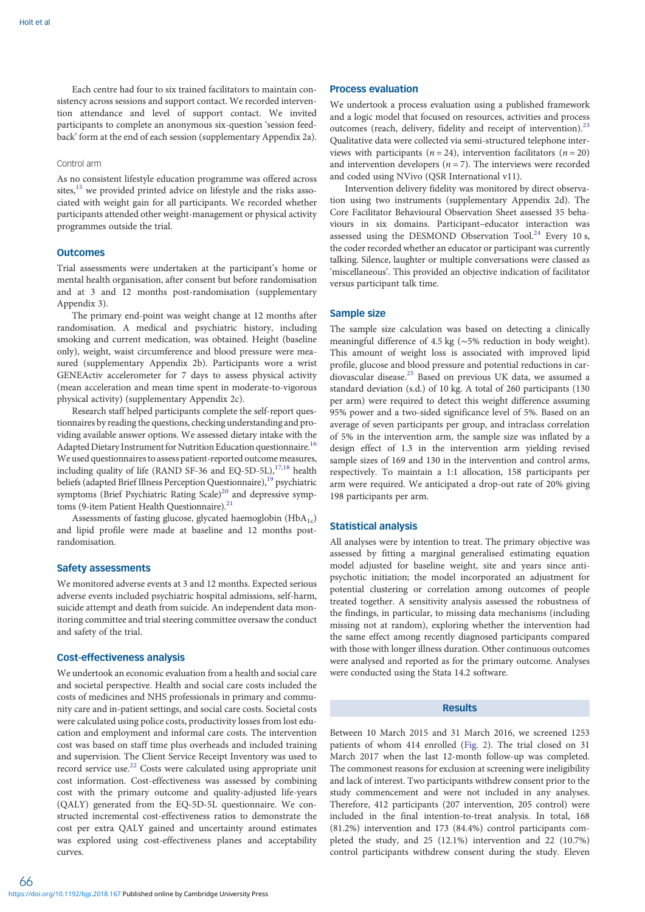Each centre had four to six trained facilitators to maintain consistency across sessions and support contact. We recorded intervention attendance and level of support contact. We invited participants to complete an anonymous six-question 'session feedback' form at the end of each session (supplementary Appendix 2a).

#### Control arm

As no consistent lifestyle education programme was offered across sites,<sup>[15](#page-9-0)</sup> we provided printed advice on lifestyle and the risks associated with weight gain for all participants. We recorded whether participants attended other weight-management or physical activity programmes outside the trial.

#### **Outcomes**

Trial assessments were undertaken at the participant's home or mental health organisation, after consent but before randomisation and at 3 and 12 months post-randomisation (supplementary Appendix 3).

The primary end-point was weight change at 12 months after randomisation. A medical and psychiatric history, including smoking and current medication, was obtained. Height (baseline only), weight, waist circumference and blood pressure were measured (supplementary Appendix 2b). Participants wore a wrist GENEActiv accelerometer for 7 days to assess physical activity (mean acceleration and mean time spent in moderate-to-vigorous physical activity) (supplementary Appendix 2c).

Research staff helped participants complete the self-report questionnaires by reading the questions, checking understanding and providing available answer options. We assessed dietary intake with the Adapted Dietary Instrument for Nutrition Education questionnaire.<sup>16</sup> We used questionnaires to assess patient-reported outcome measures, including quality of life (RAND SF-36 and EQ-5D-5L), $^{17,18}$  health beliefs (adapted Brief Illness Perception Questionnaire),<sup>19</sup> psychiatric symptoms (Brief Psychiatric Rating Scale)<sup>20</sup> and depressive symp-toms (9-item Patient Health Questionnaire).<sup>[21](#page-9-0)</sup>

Assessments of fasting glucose, glycated haemoglobin  $(HbA_{1c})$ and lipid profile were made at baseline and 12 months postrandomisation.

## Safety assessments

We monitored adverse events at 3 and 12 months. Expected serious adverse events included psychiatric hospital admissions, self-harm, suicide attempt and death from suicide. An independent data monitoring committee and trial steering committee oversaw the conduct and safety of the trial.

#### Cost-effectiveness analysis

We undertook an economic evaluation from a health and social care and societal perspective. Health and social care costs included the costs of medicines and NHS professionals in primary and community care and in-patient settings, and social care costs. Societal costs were calculated using police costs, productivity losses from lost education and employment and informal care costs. The intervention cost was based on staff time plus overheads and included training and supervision. The Client Service Receipt Inventory was used to record service use.[22](#page-9-0) Costs were calculated using appropriate unit cost information. Cost-effectiveness was assessed by combining cost with the primary outcome and quality-adjusted life-years (QALY) generated from the EQ-5D-5L questionnaire. We constructed incremental cost-effectiveness ratios to demonstrate the cost per extra QALY gained and uncertainty around estimates was explored using cost-effectiveness planes and acceptability curves.

We undertook a process evaluation using a published framework and a logic model that focused on resources, activities and process outcomes (reach, delivery, fidelity and receipt of intervention).<sup>23</sup> Qualitative data were collected via semi-structured telephone interviews with participants ( $n = 24$ ), intervention facilitators ( $n = 20$ ) and intervention developers ( $n = 7$ ). The interviews were recorded and coded using NVivo (QSR International v11).

Intervention delivery fidelity was monitored by direct observation using two instruments (supplementary Appendix 2d). The Core Facilitator Behavioural Observation Sheet assessed 35 behaviours in six domains. Participant–educator interaction was assessed using the DESMOND Observation Tool.<sup>[24](#page-10-0)</sup> Every 10 s, the coder recorded whether an educator or participant was currently talking. Silence, laughter or multiple conversations were classed as 'miscellaneous'. This provided an objective indication of facilitator versus participant talk time.

## Sample size

The sample size calculation was based on detecting a clinically meaningful difference of 4.5 kg (∼5% reduction in body weight). This amount of weight loss is associated with improved lipid profile, glucose and blood pressure and potential reductions in cardiovascular disease.[25](#page-10-0) Based on previous UK data, we assumed a standard deviation (s.d.) of 10 kg. A total of 260 participants (130 per arm) were required to detect this weight difference assuming 95% power and a two-sided significance level of 5%. Based on an average of seven participants per group, and intraclass correlation of 5% in the intervention arm, the sample size was inflated by a design effect of 1.3 in the intervention arm yielding revised sample sizes of 169 and 130 in the intervention and control arms, respectively. To maintain a 1:1 allocation, 158 participants per arm were required. We anticipated a drop-out rate of 20% giving 198 participants per arm.

# Statistical analysis

All analyses were by intention to treat. The primary objective was assessed by fitting a marginal generalised estimating equation model adjusted for baseline weight, site and years since antipsychotic initiation; the model incorporated an adjustment for potential clustering or correlation among outcomes of people treated together. A sensitivity analysis assessed the robustness of the findings, in particular, to missing data mechanisms (including missing not at random), exploring whether the intervention had the same effect among recently diagnosed participants compared with those with longer illness duration. Other continuous outcomes were analysed and reported as for the primary outcome. Analyses were conducted using the Stata 14.2 software.

#### **Results**

Between 10 March 2015 and 31 March 2016, we screened 1253 patients of whom 414 enrolled ([Fig. 2](#page-4-0)). The trial closed on 31 March 2017 when the last 12-month follow-up was completed. The commonest reasons for exclusion at screening were ineligibility and lack of interest. Two participants withdrew consent prior to the study commencement and were not included in any analyses. Therefore, 412 participants (207 intervention, 205 control) were included in the final intention-to-treat analysis. In total, 168 (81.2%) intervention and 173 (84.4%) control participants completed the study, and 25 (12.1%) intervention and 22 (10.7%) control participants withdrew consent during the study. Eleven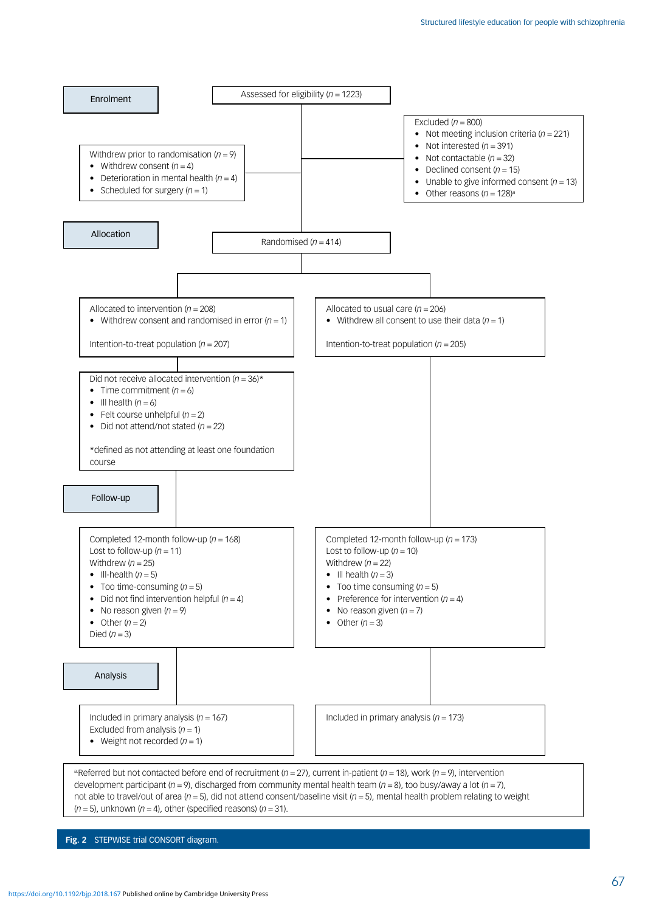<span id="page-4-0"></span>

 $(n = 5)$ , unknown  $(n = 4)$ , other (specified reasons)  $(n = 31)$ .

Fig. 2 STEPWISE trial CONSORT diagram.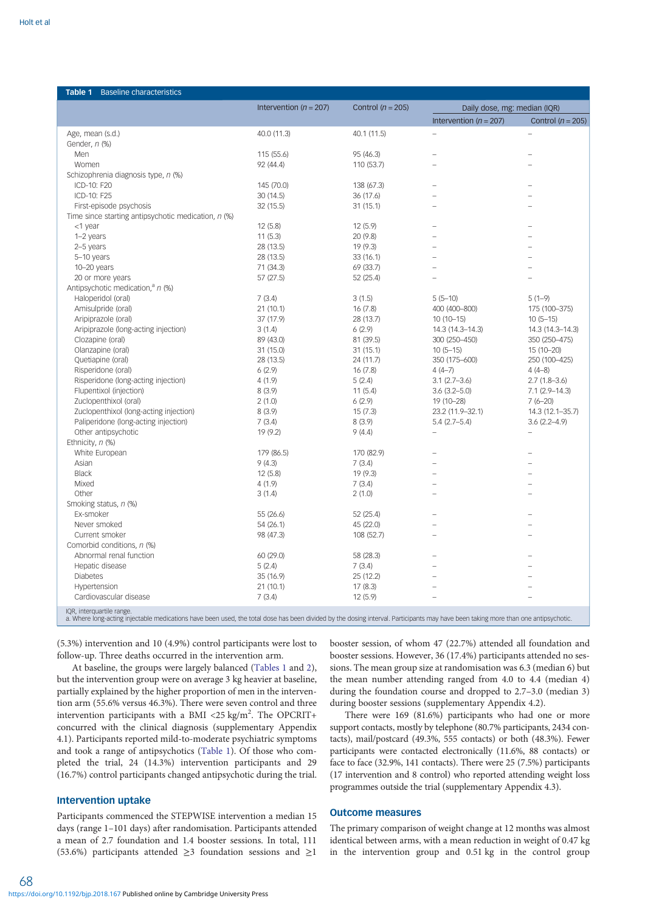| Table 1<br><b>Baseline characteristics</b>                                                                                                                                                                      |                            |                       |                              |                          |  |
|-----------------------------------------------------------------------------------------------------------------------------------------------------------------------------------------------------------------|----------------------------|-----------------------|------------------------------|--------------------------|--|
|                                                                                                                                                                                                                 | Intervention ( $n = 207$ ) | Control ( $n = 205$ ) | Daily dose, mg: median (IQR) |                          |  |
|                                                                                                                                                                                                                 |                            |                       | Intervention ( $n = 207$ )   | Control ( $n = 205$ )    |  |
| Age, mean (s.d.)                                                                                                                                                                                                | 40.0 (11.3)                | 40.1 (11.5)           |                              |                          |  |
| Gender, n (%)                                                                                                                                                                                                   |                            |                       |                              |                          |  |
| Men                                                                                                                                                                                                             | 115 (55.6)                 | 95 (46.3)             |                              |                          |  |
| Women                                                                                                                                                                                                           | 92 (44.4)                  | 110 (53.7)            |                              |                          |  |
| Schizophrenia diagnosis type, n (%)                                                                                                                                                                             |                            |                       |                              |                          |  |
| ICD-10: F20                                                                                                                                                                                                     | 145 (70.0)                 | 138 (67.3)            |                              |                          |  |
| ICD-10: F25                                                                                                                                                                                                     | 30(14.5)                   | 36 (17.6)             |                              |                          |  |
| First-episode psychosis                                                                                                                                                                                         | 32 (15.5)                  | 31(15.1)              |                              |                          |  |
| Time since starting antipsychotic medication, n (%)                                                                                                                                                             |                            |                       |                              |                          |  |
| <1 year                                                                                                                                                                                                         | 12(5.8)                    | 12(5.9)               |                              |                          |  |
| 1-2 years                                                                                                                                                                                                       | 11(5.3)                    | 20 (9.8)              |                              |                          |  |
| 2-5 years                                                                                                                                                                                                       | 28 (13.5)                  | 19 (9.3)              |                              |                          |  |
| 5-10 years                                                                                                                                                                                                      | 28 (13.5)                  | 33 (16.1)             |                              |                          |  |
| 10-20 years                                                                                                                                                                                                     | 71 (34.3)                  | 69 (33.7)             |                              |                          |  |
| 20 or more years                                                                                                                                                                                                | 57 (27.5)                  | 52 (25.4)             |                              |                          |  |
| Antipsychotic medication, <sup>a</sup> n (%)                                                                                                                                                                    |                            |                       |                              |                          |  |
| Haloperidol (oral)                                                                                                                                                                                              | 7(3.4)                     | 3(1.5)                | $5(5-10)$                    | $5(1-9)$                 |  |
| Amisulpride (oral)                                                                                                                                                                                              | 21(10.1)                   | 16(7.8)               | 400 (400-800)                | 175 (100-375)            |  |
| Aripiprazole (oral)                                                                                                                                                                                             | 37 (17.9)                  | 28 (13.7)             | $10(10-15)$                  | $10(5-15)$               |  |
| Aripiprazole (long-acting injection)                                                                                                                                                                            | 3(1.4)                     | 6(2.9)                | 14.3 (14.3-14.3)             | 14.3 (14.3-14.3)         |  |
| Clozapine (oral)                                                                                                                                                                                                | 89 (43.0)                  | 81 (39.5)             | 300 (250-450)                | 350 (250-475)            |  |
| Olanzapine (oral)                                                                                                                                                                                               | 31 (15.0)                  | 31(15.1)              | $10(5-15)$                   | 15 (10-20)               |  |
| Quetiapine (oral)                                                                                                                                                                                               | 28 (13.5)                  | 24 (11.7)             | 350 (175-600)                | 250 (100-425)            |  |
| Risperidone (oral)                                                                                                                                                                                              | 6(2.9)                     | 16(7.8)               | $4(4-7)$                     | $4(4-8)$                 |  |
| Risperidone (long-acting injection)                                                                                                                                                                             | 4(1.9)                     | 5(2.4)                | $3.1 (2.7 - 3.6)$            | $2.7(1.8-3.6)$           |  |
| Flupentixol (injection)                                                                                                                                                                                         | 8(3.9)                     | 11(5.4)               | $3.6(3.2 - 5.0)$             | $7.1(2.9 - 14.3)$        |  |
| Zuclopenthixol (oral)                                                                                                                                                                                           | 2(1.0)                     | 6(2.9)                | 19 (10-28)                   | $7(6-20)$                |  |
| Zuclopenthixol (long-acting injection)                                                                                                                                                                          | 8(3.9)                     | 15(7.3)               | 23.2 (11.9-32.1)             | 14.3 (12.1-35.7)         |  |
| Paliperidone (long-acting injection)                                                                                                                                                                            | 7(3.4)                     | 8(3.9)                | $5.4(2.7-5.4)$               | $3.6(2.2 - 4.9)$         |  |
| Other antipsychotic                                                                                                                                                                                             | 19 (9.2)                   | 9(4.4)                | ÷                            | $\overline{\phantom{0}}$ |  |
| Ethnicity, n (%)                                                                                                                                                                                                |                            |                       |                              |                          |  |
| White European                                                                                                                                                                                                  | 179 (86.5)                 | 170 (82.9)            |                              |                          |  |
| Asian                                                                                                                                                                                                           | 9(4.3)                     | 7(3.4)                |                              |                          |  |
| <b>Black</b>                                                                                                                                                                                                    | 12(5.8)                    | 19 (9.3)              |                              |                          |  |
| Mixed                                                                                                                                                                                                           | 4(1.9)                     | 7(3.4)                |                              |                          |  |
| Other                                                                                                                                                                                                           | 3(1.4)                     | 2(1.0)                |                              |                          |  |
| Smoking status, n (%)                                                                                                                                                                                           |                            |                       |                              |                          |  |
| Ex-smoker                                                                                                                                                                                                       | 55 (26.6)                  | 52 (25.4)             |                              |                          |  |
| Never smoked                                                                                                                                                                                                    | 54 (26.1)                  | 45 (22.0)             |                              |                          |  |
| Current smoker                                                                                                                                                                                                  | 98 (47.3)                  | 108 (52.7)            |                              |                          |  |
| Comorbid conditions, n (%)                                                                                                                                                                                      |                            |                       |                              |                          |  |
| Abnormal renal function                                                                                                                                                                                         | 60 (29.0)                  | 58 (28.3)             |                              |                          |  |
| Hepatic disease                                                                                                                                                                                                 | 5(2.4)                     | 7(3.4)                |                              |                          |  |
| <b>Diabetes</b>                                                                                                                                                                                                 | 35 (16.9)                  | 25 (12.2)             |                              |                          |  |
| Hypertension                                                                                                                                                                                                    | 21(10.1)                   | 17(8.3)               |                              |                          |  |
| Cardiovascular disease                                                                                                                                                                                          | 7(3.4)                     | 12 (5.9)              |                              |                          |  |
|                                                                                                                                                                                                                 |                            |                       |                              |                          |  |
| IQR, interquartile range.<br>a. Where long-acting injectable medications have been used, the total dose has been divided by the dosing interval. Participants may have been taking more than one antipsychotic. |                            |                       |                              |                          |  |

(5.3%) intervention and 10 (4.9%) control participants were lost to follow-up. Three deaths occurred in the intervention arm.

At baseline, the groups were largely balanced (Tables 1 and [2](#page-6-0)), but the intervention group were on average 3 kg heavier at baseline, partially explained by the higher proportion of men in the intervention arm (55.6% versus 46.3%). There were seven control and three intervention participants with a BMI <25 kg/m<sup>2</sup>. The OPCRIT+ concurred with the clinical diagnosis (supplementary Appendix 4.1). Participants reported mild-to-moderate psychiatric symptoms and took a range of antipsychotics (Table 1). Of those who completed the trial, 24 (14.3%) intervention participants and 29 (16.7%) control participants changed antipsychotic during the trial.

# Intervention uptake

Participants commenced the STEPWISE intervention a median 15 days (range 1–101 days) after randomisation. Participants attended a mean of 2.7 foundation and 1.4 booster sessions. In total, 111 (53.6%) participants attended  $\geq$ 3 foundation sessions and  $\geq$ 1

booster session, of whom 47 (22.7%) attended all foundation and booster sessions. However, 36 (17.4%) participants attended no sessions. The mean group size at randomisation was 6.3 (median 6) but the mean number attending ranged from 4.0 to 4.4 (median 4) during the foundation course and dropped to 2.7–3.0 (median 3) during booster sessions (supplementary Appendix 4.2).

There were 169 (81.6%) participants who had one or more support contacts, mostly by telephone (80.7% participants, 2434 contacts), mail/postcard (49.3%, 555 contacts) or both (48.3%). Fewer participants were contacted electronically (11.6%, 88 contacts) or face to face (32.9%, 141 contacts). There were 25 (7.5%) participants (17 intervention and 8 control) who reported attending weight loss programmes outside the trial (supplementary Appendix 4.3).

# Outcome measures

The primary comparison of weight change at 12 months was almost identical between arms, with a mean reduction in weight of 0.47 kg in the intervention group and 0.51 kg in the control group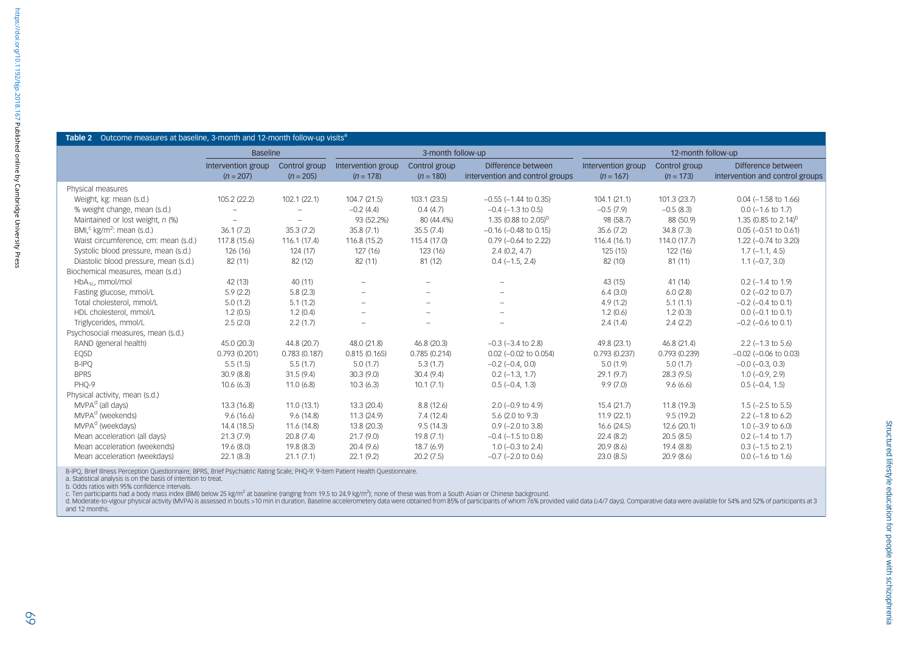| Ta |
|----|
|    |
|    |
| Pł |
|    |
|    |

<span id="page-6-0"></span>https://doi.org/10.1192/bjp.2018.167 Published online by Cambridge University Press <https://doi.org/10.1192/bjp.2018.167>Published online by Cambridge University Press

#### Table 2 Outcome measures at baseline, 3-month and 12-month follow-up visits<sup>a</sup>

|                                          | <b>Baseline</b>          |                          | 3-month follow-up        |                          |                                  | 12-month follow-up |               |                                  |
|------------------------------------------|--------------------------|--------------------------|--------------------------|--------------------------|----------------------------------|--------------------|---------------|----------------------------------|
|                                          | Intervention group       | Control group            | Intervention group       | Control group            | Difference between               | Intervention group | Control group | Difference between               |
|                                          | $(n = 207)$              | $(n = 205)$              | $(n = 178)$              | $(n = 180)$              | intervention and control groups  | $(n = 167)$        | $(n = 173)$   | intervention and control groups  |
| Physical measures                        |                          |                          |                          |                          |                                  |                    |               |                                  |
| Weight, kg: mean (s.d.)                  | 105.2 (22.2)             | 102.1(22.1)              | 104.7 (21.5)             | 103.1 (23.5)             | $-0.55$ ( $-1.44$ to 0.35)       | 104.1(21.1)        | 101.3 (23.7)  | $0.04$ ( $-1.58$ to $1.66$ )     |
| % weight change, mean (s.d.)             | $\equiv$                 |                          | $-0.2$ (4.4)             | 0.4(4.7)                 | $-0.4$ ( $-1.3$ to 0.5)          | $-0.5(7.9)$        | $-0.5(8.3)$   | $0.0$ (-1.6 to 1.7)              |
| Maintained or lost weight, n (%)         | $\overline{\phantom{m}}$ | $\overline{\phantom{0}}$ | 93 (52.2%)               | 80 (44.4%)               | 1.35 (0.88 to 2.05) <sup>b</sup> | 98 (58.7)          | 88 (50.9)     | 1.35 (0.85 to 2.14) <sup>b</sup> |
| BMI, $c$ kg/m <sup>2</sup> : mean (s.d.) | 36.1(7.2)                | 35.3(7.2)                | 35.8(7.1)                | 35.5(7.4)                | $-0.16$ ( $-0.48$ to 0.15)       | 35.6(7.2)          | 34.8(7.3)     | $0.05$ (-0.51 to 0.61)           |
| Waist circumference, cm: mean (s.d.)     | 117.8 (15.6)             | 116.1(17.4)              | 116.8 (15.2)             | 115.4 (17.0)             | $0.79$ (-0.64 to 2.22)           | 116.4(16.1)        | 114.0 (17.7)  | 1.22 (-0.74 to 3.20)             |
| Systolic blood pressure, mean (s.d.)     | 126 (16)                 | 124(17)                  | 127(16)                  | 123 (16)                 | 2.4(0.2, 4.7)                    | 125(15)            | 122(16)       | $1.7(-1.1, 4.5)$                 |
| Diastolic blood pressure, mean (s.d.)    | 82 (11)                  | 82 (12)                  | 82 (11)                  | 81 (12)                  | $0.4 (-1.5, 2.4)$                | 82 (10)            | 81(11)        | $1.1 (-0.7, 3.0)$                |
| Biochemical measures, mean (s.d.)        |                          |                          |                          |                          |                                  |                    |               |                                  |
| $HbA_{1c}$ , mmol/mol                    | 42 (13)                  | 40 (11)                  | $\overline{\phantom{a}}$ | $\overline{\phantom{a}}$ | $\overline{\phantom{m}}$         | 43 (15)            | 41 (14)       | $0.2$ (-1.4 to 1.9)              |
| Fasting glucose, mmol/L                  | 5.9(2.2)                 | 5.8(2.3)                 | $\overline{\phantom{a}}$ | $\sim$                   | $\equiv$                         | 6.4(3.0)           | 6.0(2.8)      | $0.2$ (-0.2 to 0.7)              |
| Total cholesterol, mmol/L                | 5.0(1.2)                 | 5.1(1.2)                 | $\overline{\phantom{0}}$ | $\overline{\phantom{a}}$ | $\equiv$                         | 4.9(1.2)           | 5.1(1.1)      | $-0.2$ ( $-0.4$ to 0.1)          |
| HDL cholesterol, mmol/L                  | 1.2(0.5)                 | 1.2(0.4)                 | $\overline{\phantom{0}}$ | $\overline{\phantom{a}}$ | $\equiv$                         | 1.2(0.6)           | 1.2(0.3)      | $0.0$ (-0.1 to 0.1)              |
| Triglycerides, mmol/L                    | 2.5(2.0)                 | 2.2(1.7)                 | $\equiv$                 | $\equiv$                 | $\equiv$                         | 2.4(1.4)           | 2.4(2.2)      | $-0.2$ ( $-0.6$ to 0.1)          |
| Psychosocial measures, mean (s.d.)       |                          |                          |                          |                          |                                  |                    |               |                                  |
| RAND (general health)                    | 45.0 (20.3)              | 44.8 (20.7)              | 48.0 (21.8)              | 46.8 (20.3)              | $-0.3$ ( $-3.4$ to 2.8)          | 49.8 (23.1)        | 46.8 (21.4)   | $2.2$ (-1.3 to 5.6)              |
| EQ <sub>5</sub> D                        | 0.793(0.201)             | 0.783(0.187)             | 0.815(0.165)             | 0.785(0.214)             | $0.02$ (-0.02 to 0.054)          | 0.793(0.237)       | 0.793(0.239)  | $-0.02$ ( $-0.06$ to 0.03)       |
| B-IPQ                                    | 5.5(1.5)                 | 5.5(1.7)                 | 5.0(1.7)                 | 5.3(1.7)                 | $-0.2$ $(-0.4, 0.0)$             | 5.0(1.9)           | 5.0(1.7)      | $-0.0$ ( $-0.3$ , 0.3)           |
| <b>BPRS</b>                              | 30.9(8.8)                | 31.5(9.4)                | 30.3(9.0)                | 30.4(9.4)                | $0.2$ ( $-1.3$ , $1.7$ )         | 29.1(9.7)          | 28.3 (9.5)    | $1.0 (-0.9, 2.9)$                |
| PHQ-9                                    | 10.6(6.3)                | 11.0(6.8)                | 10.3(6.3)                | 10.1(7.1)                | $0.5(-0.4, 1.3)$                 | 9.9(7.0)           | 9.6(6.6)      | $0.5(-0.4, 1.5)$                 |
| Physical activity, mean (s.d.)           |                          |                          |                          |                          |                                  |                    |               |                                  |
| MVPA <sup>d</sup> (all days)             | 13.3 (16.8)              | 11.0(13.1)               | 13.3 (20.4)              | 8.8 (12.6)               | $2.0$ (-0.9 to 4.9)              | 15.4(21.7)         | 11.8 (19.3)   | $1.5$ (-2.5 to 5.5)              |
| MVPA <sup>d</sup> (weekends)             | 9.6(16.6)                | 9.6(14.8)                | 11.3 (24.9)              | 7.4(12.4)                | 5.6 (2.0 to 9.3)                 | 11.9(22.1)         | 9.5(19.2)     | $2.2$ (-1.8 to 6.2)              |
| MVPA <sup>d</sup> (weekdays)             | 14.4 (18.5)              | 11.6 (14.8)              | 13.8 (20.3)              | 9.5(14.3)                | $0.9$ (-2.0 to 3.8)              | 16.6(24.5)         | 12.6 (20.1)   | $1.0$ (-3.9 to 6.0)              |
| Mean acceleration (all days)             | 21.3(7.9)                | 20.8(7.4)                | 21.7(9.0)                | 19.8(7.1)                | $-0.4$ ( $-1.5$ to 0.8)          | 22.4(8.2)          | 20.5(8.5)     | $0.2$ (-1.4 to 1.7)              |
| Mean acceleration (weekends)             | 19.6 (8.0)               | 19.8 (8.3)               | 20.4 (9.6)               | 18.7(6.9)                | 1.0 $(-0.3$ to 2.4)              | 20.9 (8.6)         | 19.4 (8.8)    | $0.3$ ( $-1.5$ to 2.1)           |
| Mean acceleration (weekdays)             | 22.1(8.3)                | 21.1(7.1)                | 22.1(9.2)                | 20.2(7.5)                | $-0.7$ ( $-2.0$ to 0.6)          | 23.0 (8.5)         | 20.9(8.6)     | $0.0$ (-1.6 to 1.6)              |

B-IPQ, Brief Illness Perception Questionnaire; BPRS, Brief Psychiatric Rating Scale; PHQ-9: 9-item Patient Health Questionnaire.

a. Statistical analysis is on the basis of intention to treat.

b. Odds ratios with 95% confidence intervals.<br>c. Ten participants had a body mass index (BMI) below 25 kg/m<sup>2</sup> at baseline (ranging from 19.5 to 24.9 kg/m<sup>2</sup>); none of these was from a South Asian or Chinese background.<br>d and 12 months.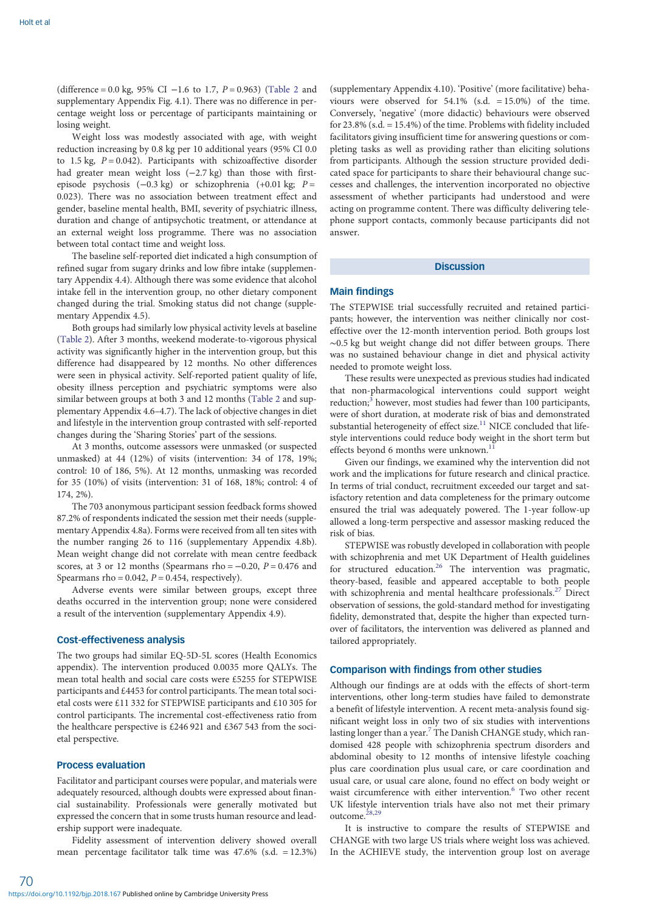(difference = 0.0 kg, 95% CI −1.6 to 1.7,  $P = 0.963$ ) ([Table 2](#page-6-0) and supplementary Appendix Fig. 4.1). There was no difference in percentage weight loss or percentage of participants maintaining or losing weight.

Weight loss was modestly associated with age, with weight reduction increasing by 0.8 kg per 10 additional years (95% CI 0.0 to 1.5 kg,  $P = 0.042$ ). Participants with schizoaffective disorder had greater mean weight loss (−2.7 kg) than those with firstepisode psychosis  $(-0.3 \text{ kg})$  or schizophrenia  $(+0.01 \text{ kg}; P =$ 0.023). There was no association between treatment effect and gender, baseline mental health, BMI, severity of psychiatric illness, duration and change of antipsychotic treatment, or attendance at an external weight loss programme. There was no association between total contact time and weight loss.

The baseline self-reported diet indicated a high consumption of refined sugar from sugary drinks and low fibre intake (supplementary Appendix 4.4). Although there was some evidence that alcohol intake fell in the intervention group, no other dietary component changed during the trial. Smoking status did not change (supplementary Appendix 4.5).

Both groups had similarly low physical activity levels at baseline ([Table 2](#page-6-0)). After 3 months, weekend moderate-to-vigorous physical activity was significantly higher in the intervention group, but this difference had disappeared by 12 months. No other differences were seen in physical activity. Self-reported patient quality of life, obesity illness perception and psychiatric symptoms were also similar between groups at both 3 and 12 months [\(Table 2](#page-6-0) and supplementary Appendix 4.6–4.7). The lack of objective changes in diet and lifestyle in the intervention group contrasted with self-reported changes during the 'Sharing Stories' part of the sessions.

At 3 months, outcome assessors were unmasked (or suspected unmasked) at 44 (12%) of visits (intervention: 34 of 178, 19%; control: 10 of 186, 5%). At 12 months, unmasking was recorded for 35 (10%) of visits (intervention: 31 of 168, 18%; control: 4 of 174, 2%).

The 703 anonymous participant session feedback forms showed 87.2% of respondents indicated the session met their needs (supplementary Appendix 4.8a). Forms were received from all ten sites with the number ranging 26 to 116 (supplementary Appendix 4.8b). Mean weight change did not correlate with mean centre feedback scores, at 3 or 12 months (Spearmans rho =  $-0.20$ ,  $P = 0.476$  and Spearmans rho =  $0.042$ ,  $P = 0.454$ , respectively).

Adverse events were similar between groups, except three deaths occurred in the intervention group; none were considered a result of the intervention (supplementary Appendix 4.9).

#### Cost-effectiveness analysis

The two groups had similar EQ-5D-5L scores (Health Economics appendix). The intervention produced 0.0035 more QALYs. The mean total health and social care costs were £5255 for STEPWISE participants and £4453 for control participants. The mean total societal costs were £11 332 for STEPWISE participants and £10 305 for control participants. The incremental cost-effectiveness ratio from the healthcare perspective is £246 921 and £367 543 from the societal perspective.

## Process evaluation

70

Facilitator and participant courses were popular, and materials were adequately resourced, although doubts were expressed about financial sustainability. Professionals were generally motivated but expressed the concern that in some trusts human resource and leadership support were inadequate.

Fidelity assessment of intervention delivery showed overall mean percentage facilitator talk time was 47.6% (s.d. = 12.3%)

(supplementary Appendix 4.10). 'Positive' (more facilitative) behaviours were observed for 54.1% (s.d. = 15.0%) of the time. Conversely, 'negative' (more didactic) behaviours were observed for 23.8% (s.d. = 15.4%) of the time. Problems with fidelity included facilitators giving insufficient time for answering questions or completing tasks as well as providing rather than eliciting solutions from participants. Although the session structure provided dedicated space for participants to share their behavioural change successes and challenges, the intervention incorporated no objective assessment of whether participants had understood and were acting on programme content. There was difficulty delivering telephone support contacts, commonly because participants did not answer.

## **Discussion**

## Main findings

The STEPWISE trial successfully recruited and retained participants; however, the intervention was neither clinically nor costeffective over the 12-month intervention period. Both groups lost ∼0.5 kg but weight change did not differ between groups. There was no sustained behaviour change in diet and physical activity needed to promote weight loss.

These results were unexpected as previous studies had indicated that non-pharmacological interventions could support weight reduction;<sup>[3](#page-9-0)</sup> however, most studies had fewer than 100 participants, were of short duration, at moderate risk of bias and demonstrated substantial heterogeneity of effect size.<sup>[11](#page-9-0)</sup> NICE concluded that lifestyle interventions could reduce body weight in the short term but effects beyond 6 months were unknown.<sup>1</sup>

Given our findings, we examined why the intervention did not work and the implications for future research and clinical practice. In terms of trial conduct, recruitment exceeded our target and satisfactory retention and data completeness for the primary outcome ensured the trial was adequately powered. The 1-year follow-up allowed a long-term perspective and assessor masking reduced the risk of bias.

STEPWISE was robustly developed in collaboration with people with schizophrenia and met UK Department of Health guidelines for structured education.<sup>[26](#page-10-0)</sup> The intervention was pragmatic, theory-based, feasible and appeared acceptable to both people with schizophrenia and mental healthcare professionals.<sup>[27](#page-10-0)</sup> Direct observation of sessions, the gold-standard method for investigating fidelity, demonstrated that, despite the higher than expected turnover of facilitators, the intervention was delivered as planned and tailored appropriately.

## Comparison with findings from other studies

Although our findings are at odds with the effects of short-term interventions, other long-term studies have failed to demonstrate a benefit of lifestyle intervention. A recent meta-analysis found significant weight loss in only two of six studies with interventions lasting longer than a year.<sup>7</sup> The Danish CHANGE study, which randomised 428 people with schizophrenia spectrum disorders and abdominal obesity to 12 months of intensive lifestyle coaching plus care coordination plus usual care, or care coordination and usual care, or usual care alone, found no effect on body weight or waist circumference with either intervention.<sup>[6](#page-9-0)</sup> Two other recent UK lifestyle intervention trials have also not met their primary outcome.<sup>[28](#page-9-0),[29](#page-9-0)</sup>

It is instructive to compare the results of STEPWISE and CHANGE with two large US trials where weight loss was achieved. In the ACHIEVE study, the intervention group lost on average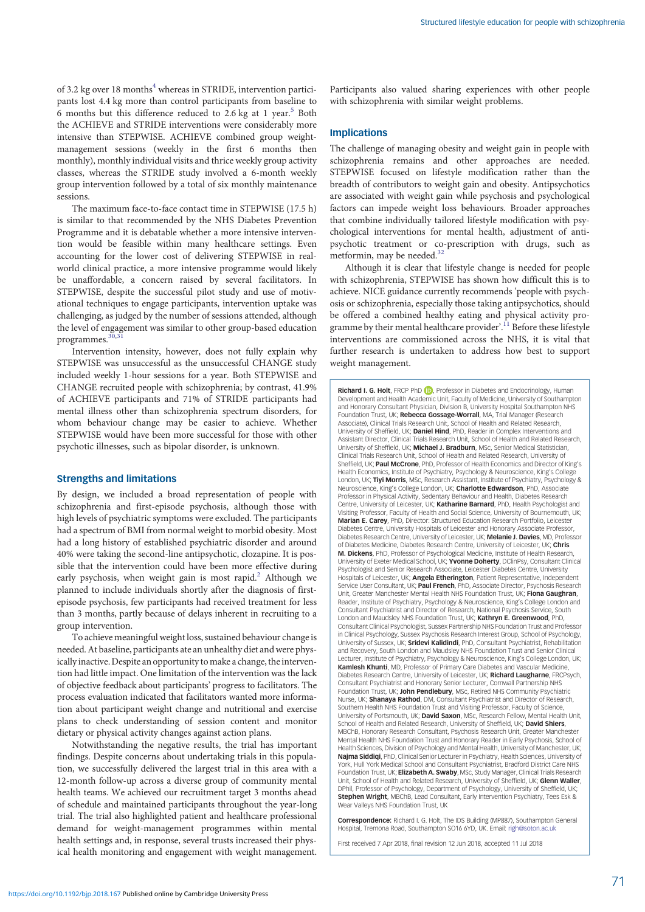of 3.2 kg over 18 months $4$  whereas in STRIDE, intervention participants lost 4.4 kg more than control participants from baseline to 6 months but this difference reduced to 2.6 kg at 1 year.<sup>5</sup> Both the ACHIEVE and STRIDE interventions were considerably more intensive than STEPWISE. ACHIEVE combined group weightmanagement sessions (weekly in the first 6 months then monthly), monthly individual visits and thrice weekly group activity classes, whereas the STRIDE study involved a 6-month weekly group intervention followed by a total of six monthly maintenance sessions.

The maximum face-to-face contact time in STEPWISE (17.5 h) is similar to that recommended by the NHS Diabetes Prevention Programme and it is debatable whether a more intensive intervention would be feasible within many healthcare settings. Even accounting for the lower cost of delivering STEPWISE in realworld clinical practice, a more intensive programme would likely be unaffordable, a concern raised by several facilitators. In STEPWISE, despite the successful pilot study and use of motivational techniques to engage participants, intervention uptake was challenging, as judged by the number of sessions attended, although the level of engagement was similar to other group-based education programmes. $30,31$  $30,31$  $30,31$ 

Intervention intensity, however, does not fully explain why STEPWISE was unsuccessful as the unsuccessful CHANGE study included weekly 1-hour sessions for a year. Both STEPWISE and CHANGE recruited people with schizophrenia; by contrast, 41.9% of ACHIEVE participants and 71% of STRIDE participants had mental illness other than schizophrenia spectrum disorders, for whom behaviour change may be easier to achieve. Whether STEPWISE would have been more successful for those with other psychotic illnesses, such as bipolar disorder, is unknown.

## Strengths and limitations

By design, we included a broad representation of people with schizophrenia and first-episode psychosis, although those with high levels of psychiatric symptoms were excluded. The participants had a spectrum of BMI from normal weight to morbid obesity. Most had a long history of established psychiatric disorder and around 40% were taking the second-line antipsychotic, clozapine. It is possible that the intervention could have been more effective during early psychosis, when weight gain is most rapid.<sup>[2](#page-9-0)</sup> Although we planned to include individuals shortly after the diagnosis of firstepisode psychosis, few participants had received treatment for less than 3 months, partly because of delays inherent in recruiting to a group intervention.

To achieve meaningful weight loss, sustained behaviour change is needed. At baseline, participants ate an unhealthy diet and were physically inactive. Despite an opportunity to make a change, the intervention had little impact. One limitation of the intervention was the lack of objective feedback about participants' progress to facilitators. The process evaluation indicated that facilitators wanted more information about participant weight change and nutritional and exercise plans to check understanding of session content and monitor dietary or physical activity changes against action plans.

Notwithstanding the negative results, the trial has important findings. Despite concerns about undertaking trials in this population, we successfully delivered the largest trial in this area with a 12-month follow-up across a diverse group of community mental health teams. We achieved our recruitment target 3 months ahead of schedule and maintained participants throughout the year-long trial. The trial also highlighted patient and healthcare professional demand for weight-management programmes within mental health settings and, in response, several trusts increased their physical health monitoring and engagement with weight management.

Participants also valued sharing experiences with other people with schizophrenia with similar weight problems.

## Implications

The challenge of managing obesity and weight gain in people with schizophrenia remains and other approaches are needed. STEPWISE focused on lifestyle modification rather than the breadth of contributors to weight gain and obesity. Antipsychotics are associated with weight gain while psychosis and psychological factors can impede weight loss behaviours. Broader approaches that combine individually tailored lifestyle modification with psychological interventions for mental health, adjustment of antipsychotic treatment or co-prescription with drugs, such as metformin, may be needed. $32$ 

Although it is clear that lifestyle change is needed for people with schizophrenia, STEPWISE has shown how difficult this is to achieve. NICE guidance currently recommends 'people with psychosis or schizophrenia, especially those taking antipsychotics, should be offered a combined healthy eating and physical activity pro-gramme by their mental healthcare provider'.<sup>[11](#page-9-0)</sup> Before these lifestyle interventions are commissioned across the NHS, it is vital that further research is undertaken to address how best to support weight management.

**Richard I. G. Holt[,](http://orcid.org/0000-0001-8911-6744) FRCP PhD ID, Professor in Diabetes and Endocrinology, Human** Development and Health Academic Unit, Faculty of Medicine, University of Southampton and Honorary Consultant Physician, Division B, University Hospital Southampton NHS Foundation Trust, UK; Rebecca Gossage-Worrall, MA, Trial Manager (Research Associate), Clinical Trials Research Unit, School of Health and Related Research, University of Sheffield, UK; Daniel Hind, PhD, Reader in Complex Interventions and Assistant Director, Clinical Trials Research Unit, School of Health and Related Research, University of Sheffield, UK; Michael J. Bradburn, MSc, Senior Medical Statistician, Clinical Trials Research Unit, School of Health and Related Research, University of Sheffield, UK; Paul McCrone, PhD, Professor of Health Economics and Director of King's Health Economics, Institute of Psychiatry, Psychology & Neuroscience, King's College London, UK; Tiyi Morris, MSc, Research Assistant, Institute of Psychiatry, Psychology & Neuroscience, King's College London, UK; **Charlotte Edwardson**, PhD, Associate<br>Professor in Physical Activity, Sedentary Behaviour and Health, Diabetes Research Centre, University of Leicester, UK; Katharine Barnard, PhD, Health Psychologist and Visiting Professor, Faculty of Health and Social Science, University of Bournemouth, UK;<br>**Marian E. Carey**, PhD, Director: Structured Education Research Portfolio, Leicester Diabetes Centre, University Hospitals of Leicester and Honorary Associate Professor, Diabetes Research Centre, University of Leicester, UK; Melanie J. Davies, MD, Professor of Diabetes Medicine, Diabetes Research Centre, University of Leicester, UK; Chris M. Dickens, PhD, Professor of Psychological Medicine, Institute of Health Research, University of Exeter Medical School, UK; Yvonne Doherty, DClinPsy, Consultant Clinical Psychologist and Senior Research Associate, Leicester Diabetes Centre, University Hospitals of Leicester, UK; Angela Etherington, Patient Representative, Independent Service User Consultant, UK; **Paul French**, PhD, Associate Director, Psychosis Research<br>Unit, Greater Manchester Mental Health NHS Foundation Trust, UK; **Fiona Gaughran**, Reader, Institute of Psychiatry, Psychology & Neuroscience, King's College London and Consultant Psychiatrist and Director of Research, National Psychosis Service, South London and Maudsley NHS Foundation Trust, UK; Kathryn E. Greenwood, PhD, Consultant Clinical Psychologist, Sussex Partnership NHS Foundation Trust and Professor in Clinical Psychology, Sussex Psychosis Research Interest Group, School of Psychology, University of Sussex, UK; Sridevi Kalidindi, PhD, Consultant Psychiatrist, Rehabilitation and Recovery, South London and Maudsley NHS Foundation Trust and Senior Clinical Lecturer, Institute of Psychiatry, Psychology & Neuroscience, King's College London, UK; Kamlesh Khunti, MD, Professor of Primary Care Diabetes and Vascular Medicine, Diabetes Research Centre, University of Leicester, UK; Richard Laugharne, FRCPsych, Consultant Psychiatrist and Honorary Senior Lecturer, Cornwall Partnership NHS Foundation Trust, UK; John Pendlebury, MSc, Retired NHS Community Psychiatric Nurse, UK; Shanaya Rathod, DM, Consultant Psychiatrist and Director of Research, Southern Health NHS Foundation Trust and Visiting Professor, Faculty of Science, University of Portsmouth, UK; David Saxon, MSc, Research Fellow, Mental Health Unit, School of Health and Related Research, University of Sheffield, UK; David Shiers, MBChB, Honorary Research Consultant, Psychosis Research Unit, Greater Manchester Mental Health NHS Foundation Trust and Honorary Reader in Early Psychosis, School of Health Sciences, Division of Psychology and Mental Health, University of Manchester, UK; Najma Siddiqi, PhD, Clinical Senior Lecturer in Psychiatry, Health Sciences, University of York, Hull York Medical School and Consultant Psychiatrist, Bradford District Care NHS Foundation Trust, UK; **Elizabeth A. Swaby**, MSc, Study Manager, Clinical Trials Research Unit, School of Health and Related Research, University of Sheffield, UK; Glenn Waller, DPhil, Professor of Psychology, Department of Psychology, University of Sheffield, UK; Stephen Wright, MBChB, Lead Consultant, Early Intervention Psychiatry, Tees Esk & Wear Valleys NHS Foundation Trust, UK

Correspondence: Richard I. G. Holt, The IDS Building (MP887), Southampton General Hospital, Tremona Road, Southampton SO16 6YD, UK. Email: [righ@soton.ac.uk](mailto:righ@soton.ac.uk)

First received 7 Apr 2018, final revision 12 Jun 2018, accepted 11 Jul 2018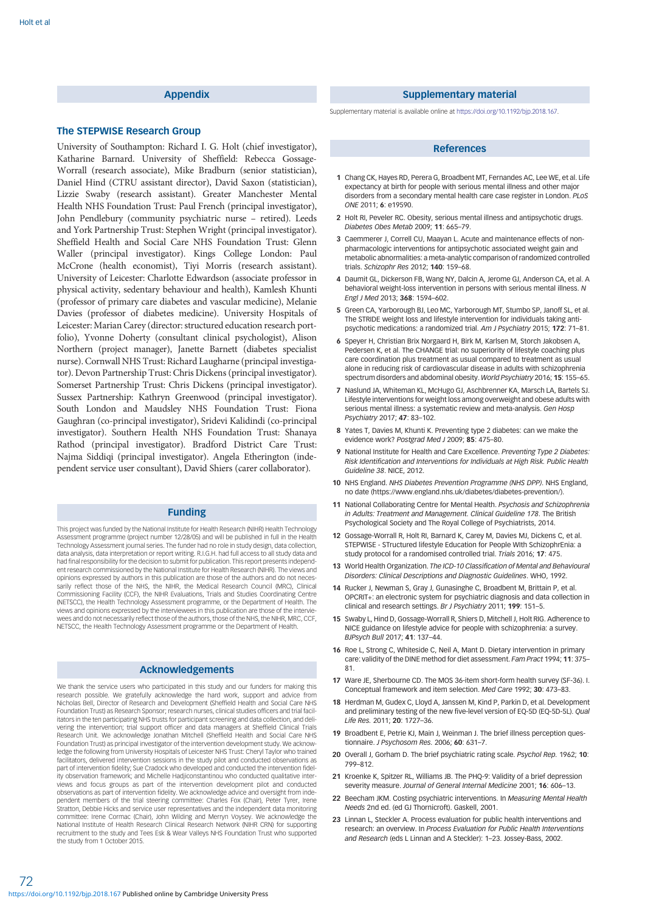# Appendix

#### <span id="page-9-0"></span>The STEPWISE Research Group

University of Southampton: Richard I. G. Holt (chief investigator), Katharine Barnard. University of Sheffield: Rebecca Gossage-Worrall (research associate), Mike Bradburn (senior statistician), Daniel Hind (CTRU assistant director), David Saxon (statistician), Lizzie Swaby (research assistant). Greater Manchester Mental Health NHS Foundation Trust: Paul French (principal investigator), John Pendlebury (community psychiatric nurse – retired). Leeds and York Partnership Trust: Stephen Wright (principal investigator). Sheffield Health and Social Care NHS Foundation Trust: Glenn Waller (principal investigator). Kings College London: Paul McCrone (health economist), Tiyi Morris (research assistant). University of Leicester: Charlotte Edwardson (associate professor in physical activity, sedentary behaviour and health), Kamlesh Khunti (professor of primary care diabetes and vascular medicine), Melanie Davies (professor of diabetes medicine). University Hospitals of Leicester: Marian Carey (director: structured education research portfolio), Yvonne Doherty (consultant clinical psychologist), Alison Northern (project manager), Janette Barnett (diabetes specialist nurse). Cornwall NHS Trust: Richard Laugharne (principal investigator). Devon Partnership Trust: Chris Dickens (principal investigator). Somerset Partnership Trust: Chris Dickens (principal investigator). Sussex Partnership: Kathryn Greenwood (principal investigator). South London and Maudsley NHS Foundation Trust: Fiona Gaughran (co-principal investigator), Sridevi Kalidindi (co-principal investigator). Southern Health NHS Foundation Trust: Shanaya Rathod (principal investigator). Bradford District Care Trust: Najma Siddiqi (principal investigator). Angela Etherington (independent service user consultant), David Shiers (carer collaborator).

#### Funding

This project was funded by the National Institute for Health Research (NIHR) Health Technology Assessment programme (project number 12/28/05) and will be published in full in the Health Technology Assessment journal series. The funder had no role in study design, data collection, data analysis, data interpretation or report writing. R.I.G.H. had full access to all study data and had final responsibility for the decision to submit for publication. This report presents independent research commissioned by the National Institute for Health Research (NIHR). The views and opinions expressed by authors in this publication are those of the authors and do not necessarily reflect those of the NHS, the NIHR, the Medical Research Council (MRC), Clinical Commissioning Facility (CCF), the NIHR Evaluations, Trials and Studies Coordinating Centre (NETSCC), the Health Technology Assessment programme, or the Department of Health. The views and opinions expressed by the interviewees in this publication are those of the interviewees and do not necessarily reflect those of the authors, those of the NHS, the NIHR, MRC, CCF, NETSCC, the Health Technology Assessment programme or the Department of Health.

## Acknowledgements

We thank the service users who participated in this study and our funders for making this research possible. We gratefully acknowledge the hard work, support and advice from Nicholas Bell, Director of Research and Development (Sheffield Health and Social Care NHS Foundation Trust) as Research Sponsor; research nurses, clinical studies officers and trial facilitators in the ten participating NHS trusts for participant screening and data collection, and delivering the intervention; trial support officer and data managers at Sheffield Clinical Trials Research Unit. We acknowledge Jonathan Mitchell (Sheffield Health and Social Care NHS Foundation Trust) as principal investigator of the intervention development study. We acknowledge the following from University Hospitals of Leicester NHS Trust: Cheryl Taylor who trained facilitators, delivered intervention sessions in the study pilot and conducted observations as part of intervention fidelity; Sue Cradock who developed and conducted the intervention fidelity observation framework; and Michelle Hadjiconstantinou who conducted qualitative interviews and focus groups as part of the intervention development pilot and conducted observations as part of intervention fidelity. We acknowledge advice and oversight from independent members of the trial steering committee: Charles Fox (Chair), Peter Tyrer, Irene Stratton, Debbie Hicks and service user representatives and the independent data monitoring committee: Irene Cormac (Chair), John Wilding and Merryn Voysey. We acknowledge the National Institute of Health Research Clinical Research Network (NIHR CRN) for supporting recruitment to the study and Tees Esk & Wear Valleys NHS Foundation Trust who supported the study from 1 October 2015.

#### Supplementary material

Supplementary material is available online at <https://doi.org/10.1192/bjp.2018.167>.

#### References

- 1 Chang CK, Hayes RD, Perera G, Broadbent MT, Fernandes AC, Lee WE, et al. Life expectancy at birth for people with serious mental illness and other major disorders from a secondary mental health care case register in London. PLoS ONE 2011; 6: e19590.
- 2 Holt RI, Peveler RC. Obesity, serious mental illness and antipsychotic drugs. Diabetes Obes Metab 2009; 11: 665–79.
- 3 Caemmerer J, Correll CU, Maayan L. Acute and maintenance effects of nonpharmacologic interventions for antipsychotic associated weight gain and metabolic abnormalities: a meta-analytic comparison of randomized controlled trials. Schizophr Res 2012; 140: 159–68.
- 4 Daumit GL, Dickerson FB, Wang NY, Dalcin A, Jerome GJ, Anderson CA, et al. A behavioral weight-loss intervention in persons with serious mental illness. N Engl J Med 2013; 368: 1594–602.
- 5 Green CA, Yarborough BJ, Leo MC, Yarborough MT, Stumbo SP, Janoff SL, et al. The STRIDE weight loss and lifestyle intervention for individuals taking antipsychotic medications: a randomized trial. Am J Psychiatry 2015; 172: 71–81.
- 6 Speyer H, Christian Brix Norgaard H, Birk M, Karlsen M, Storch Jakobsen A, Pedersen K, et al. The CHANGE trial: no superiority of lifestyle coaching plus care coordination plus treatment as usual compared to treatment as usual alone in reducing risk of cardiovascular disease in adults with schizophrenia spectrum disorders and abdominal obesity. World Psychiatry 2016; 15: 155–65.
- 7 Naslund JA, Whiteman KL, McHugo GJ, Aschbrenner KA, Marsch LA, Bartels SJ. Lifestyle interventions for weight loss among overweight and obese adults with serious mental illness: a systematic review and meta-analysis. Gen Hosp Psychiatry 2017; 47: 83–102.
- 8 Yates T, Davies M, Khunti K. Preventing type 2 diabetes: can we make the evidence work? Postgrad Med J 2009; 85: 475–80.
- 9 National Institute for Health and Care Excellence. Preventing Type 2 Diabetes: Risk Identification and Interventions for Individuals at High Risk. Public Health Guideline 38. NICE, 2012.
- 10 NHS England. NHS Diabetes Prevention Programme (NHS DPP). NHS England, no date (https://www.england.nhs.uk/diabetes/diabetes-prevention/).
- 11 National Collaborating Centre for Mental Health. Psychosis and Schizophrenia in Adults: Treatment and Management. Clinical Guideline 178. The British Psychological Society and The Royal College of Psychiatrists, 2014.
- 12 Gossage-Worrall R, Holt RI, Barnard K, Carey M, Davies MJ, Dickens C, et al. STEPWISE - STructured lifestyle Education for People WIth SchizophrEnia: a study protocol for a randomised controlled trial. Trials 2016; 17: 475.
- 13 World Health Organization. The ICD-10 Classification of Mental and Behavioural Disorders: Clinical Descriptions and Diagnostic Guidelines. WHO, 1992.
- 14 Rucker J, Newman S, Gray J, Gunasinghe C, Broadbent M, Brittain P, et al. OPCRIT+: an electronic system for psychiatric diagnosis and data collection in clinical and research settings. Br J Psychiatry 2011; 199: 151-5.
- 15 Swaby L, Hind D, Gossage-Worrall R, Shiers D, Mitchell J, Holt RIG. Adherence to NICE guidance on lifestyle advice for people with schizophrenia: a survey. BJPsych Bull 2017; 41: 137–44.
- 16 Roe L, Strong C, Whiteside C, Neil A, Mant D. Dietary intervention in primary care: validity of the DINE method for diet assessment. Fam Pract 1994; 11: 375– 81.
- 17 Ware JE, Sherbourne CD. The MOS 36-item short-form health survey (SF-36). I. Conceptual framework and item selection. Med Care 1992; 30: 473–83.
- 18 Herdman M, Gudex C, Lloyd A, Janssen M, Kind P, Parkin D, et al. Development and preliminary testing of the new five-level version of EQ-5D (EQ-5D-5L). Qual Life Res. 2011; 20: 1727–36.
- 19 Broadbent E, Petrie KJ, Main J, Weinman J. The brief illness perception questionnaire. J Psychosom Res. 2006; 60: 631–7.
- 20 Overall J, Gorham D. The brief psychiatric rating scale. Psychol Rep. 1962; 10: 799–812.
- 21 Kroenke K, Spitzer RL, Williams JB. The PHQ-9: Validity of a brief depression severity measure. Journal of General Internal Medicine 2001; 16: 606-13.
- 22 Beecham JKM. Costing psychiatric interventions. In Measuring Mental Health Needs 2nd ed. (ed GJ Thornicroft). Gaskell, 2001.
- 23 Linnan L, Steckler A. Process evaluation for public health interventions and research: an overview. In Process Evaluation for Public Health Interventions and Research (eds L Linnan and A Steckler): 1–23. Jossey-Bass, 2002.